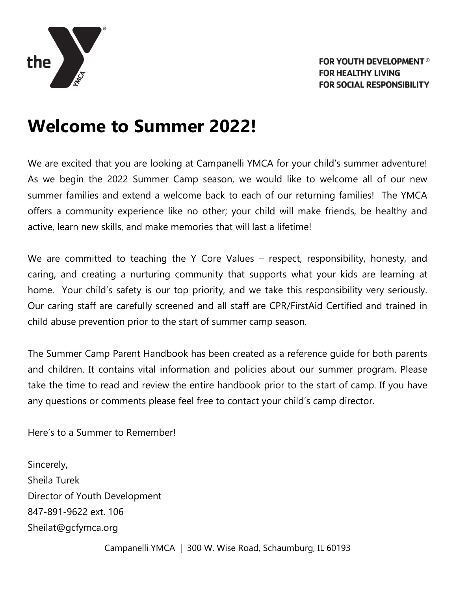

# **Welcome to Summer 2022!**

We are excited that you are looking at Campanelli YMCA for your child's summer adventure! As we begin the 2022 Summer Camp season, we would like to welcome all of our new summer families and extend a welcome back to each of our returning families! The YMCA offers a community experience like no other; your child will make friends, be healthy and active, learn new skills, and make memories that will last a lifetime!

We are committed to teaching the Y Core Values – respect, responsibility, honesty, and caring, and creating a nurturing community that supports what your kids are learning at home. Your child's safety is our top priority, and we take this responsibility very seriously. Our caring staff are carefully screened and all staff are CPR/FirstAid Certified and trained in child abuse prevention prior to the start of summer camp season.

The Summer Camp Parent Handbook has been created as a reference guide for both parents and children. It contains vital information and policies about our summer program. Please take the time to read and review the entire handbook prior to the start of camp. If you have any questions or comments please feel free to contact your child's camp director.

Here's to a Summer to Remember!

Sincerely, Sheila Turek Director of Youth Development 847-891-9622 ext. 106 Sheilat@gcfymca.org

Campanelli YMCA | 300 W. Wise Road, Schaumburg, IL 60193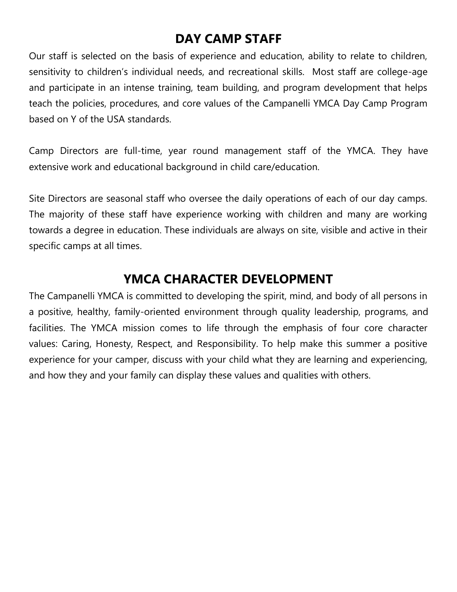# **DAY CAMP STAFF**

Our staff is selected on the basis of experience and education, ability to relate to children, sensitivity to children's individual needs, and recreational skills. Most staff are college-age and participate in an intense training, team building, and program development that helps teach the policies, procedures, and core values of the Campanelli YMCA Day Camp Program based on Y of the USA standards.

Camp Directors are full-time, year round management staff of the YMCA. They have extensive work and educational background in child care/education.

Site Directors are seasonal staff who oversee the daily operations of each of our day camps. The majority of these staff have experience working with children and many are working towards a degree in education. These individuals are always on site, visible and active in their specific camps at all times.

# **YMCA CHARACTER DEVELOPMENT**

The Campanelli YMCA is committed to developing the spirit, mind, and body of all persons in a positive, healthy, family-oriented environment through quality leadership, programs, and facilities. The YMCA mission comes to life through the emphasis of four core character values: Caring, Honesty, Respect, and Responsibility. To help make this summer a positive experience for your camper, discuss with your child what they are learning and experiencing, and how they and your family can display these values and qualities with others.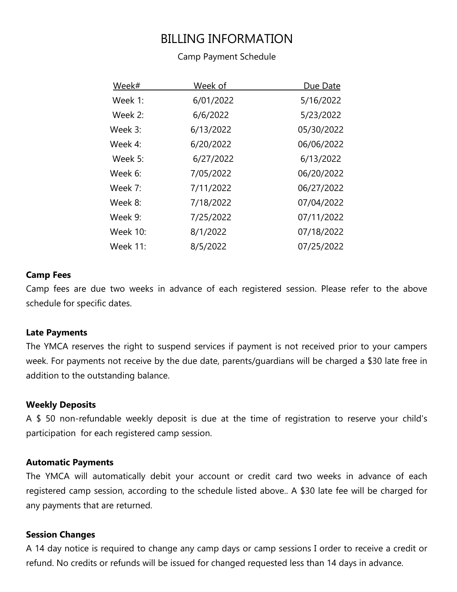# BILLING INFORMATION

#### Camp Payment Schedule

| Week#           | Week of   | Due Date   |
|-----------------|-----------|------------|
| Week 1:         | 6/01/2022 | 5/16/2022  |
| Week 2:         | 6/6/2022  | 5/23/2022  |
| Week 3:         | 6/13/2022 | 05/30/2022 |
| Week $4$ :      | 6/20/2022 | 06/06/2022 |
| Week 5:         | 6/27/2022 | 6/13/2022  |
| Week 6:         | 7/05/2022 | 06/20/2022 |
| Week $7:$       | 7/11/2022 | 06/27/2022 |
| Week 8:         | 7/18/2022 | 07/04/2022 |
| Week 9:         | 7/25/2022 | 07/11/2022 |
| <b>Week 10:</b> | 8/1/2022  | 07/18/2022 |
| <b>Week 11:</b> | 8/5/2022  | 07/25/2022 |

#### **Camp Fees**

Camp fees are due two weeks in advance of each registered session. Please refer to the above schedule for specific dates.

#### **Late Payments**

The YMCA reserves the right to suspend services if payment is not received prior to your campers week. For payments not receive by the due date, parents/guardians will be charged a \$30 late free in addition to the outstanding balance.

#### **Weekly Deposits**

A \$ 50 non-refundable weekly deposit is due at the time of registration to reserve your child's participation for each registered camp session.

#### **Automatic Payments**

The YMCA will automatically debit your account or credit card two weeks in advance of each registered camp session, according to the schedule listed above.. A \$30 late fee will be charged for any payments that are returned.

#### **Session Changes**

A 14 day notice is required to change any camp days or camp sessions I order to receive a credit or refund. No credits or refunds will be issued for changed requested less than 14 days in advance.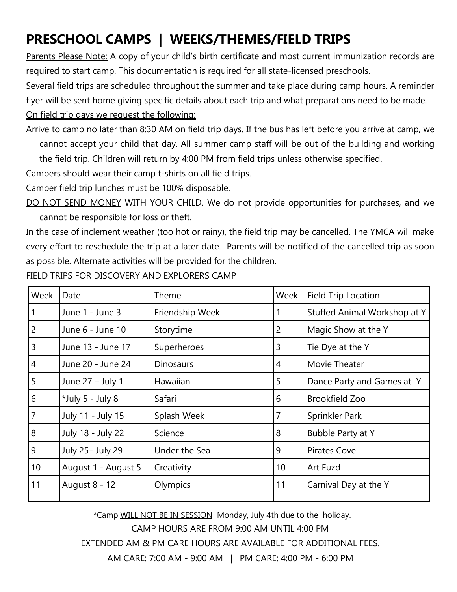# **PRESCHOOL CAMPS | WEEKS/THEMES/FIELD TRIPS**

Parents Please Note: A copy of your child's birth certificate and most current immunization records are required to start camp. This documentation is required for all state-licensed preschools.

Several field trips are scheduled throughout the summer and take place during camp hours. A reminder flyer will be sent home giving specific details about each trip and what preparations need to be made. On field trip days we request the following:

Arrive to camp no later than 8:30 AM on field trip days. If the bus has left before you arrive at camp, we cannot accept your child that day. All summer camp staff will be out of the building and working the field trip. Children will return by 4:00 PM from field trips unless otherwise specified.

Campers should wear their camp t-shirts on all field trips.

Camper field trip lunches must be 100% disposable.

DO NOT SEND MONEY WITH YOUR CHILD. We do not provide opportunities for purchases, and we cannot be responsible for loss or theft.

In the case of inclement weather (too hot or rainy), the field trip may be cancelled. The YMCA will make every effort to reschedule the trip at a later date. Parents will be notified of the cancelled trip as soon as possible. Alternate activities will be provided for the children.

| Week           | Date                | Theme            | Week            | <b>Field Trip Location</b>   |
|----------------|---------------------|------------------|-----------------|------------------------------|
| 1              | June 1 - June 3     | Friendship Week  |                 | Stuffed Animal Workshop at Y |
| $\overline{2}$ | June 6 - June 10    | Storytime        | $\overline{c}$  | Magic Show at the Y          |
| 3              | June 13 - June 17   | Superheroes      | 3               | Tie Dye at the Y             |
| 4              | June 20 - June 24   | <b>Dinosaurs</b> | 4               | Movie Theater                |
| 5              | June 27 - July 1    | Hawaiian         | 5               | Dance Party and Games at Y   |
| 6              | *July 5 - July 8    | Safari           | 6               | <b>Brookfield Zoo</b>        |
| $\overline{7}$ | July 11 - July 15   | Splash Week      | $\overline{7}$  | Sprinkler Park               |
| 8              | July 18 - July 22   | Science          | 8               | Bubble Party at Y            |
| 9              | July 25- July 29    | Under the Sea    | 9               | <b>Pirates Cove</b>          |
| 10             | August 1 - August 5 | Creativity       | 10 <sup>°</sup> | Art Fuzd                     |
| 11             | August 8 - 12       | Olympics         | 11              | Carnival Day at the Y        |

FIELD TRIPS FOR DISCOVERY AND EXPLORERS CAMP

\*Camp WILL NOT BE IN SESSION Monday, July 4th due to the holiday.

CAMP HOURS ARE FROM 9:00 AM UNTIL 4:00 PM

EXTENDED AM & PM CARE HOURS ARE AVAILABLE FOR ADDITIONAL FEES.

AM CARE: 7:00 AM - 9:00 AM | PM CARE: 4:00 PM - 6:00 PM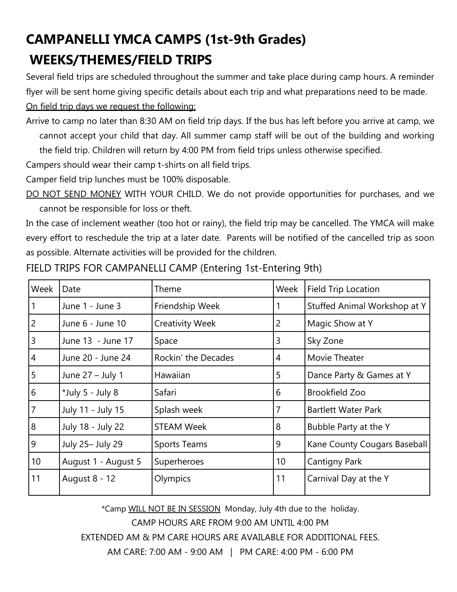# **CAMPANELLI YMCA CAMPS (1st-9th Grades) WEEKS/THEMES/FIELD TRIPS**

Several field trips are scheduled throughout the summer and take place during camp hours. A reminder flyer will be sent home giving specific details about each trip and what preparations need to be made. On field trip days we request the following:

Arrive to camp no later than 8:30 AM on field trip days. If the bus has left before you arrive at camp, we cannot accept your child that day. All summer camp staff will be out of the building and working the field trip. Children will return by 4:00 PM from field trips unless otherwise specified.

Campers should wear their camp t-shirts on all field trips.

Camper field trip lunches must be 100% disposable.

DO NOT SEND MONEY WITH YOUR CHILD. We do not provide opportunities for purchases, and we cannot be responsible for loss or theft.

In the case of inclement weather (too hot or rainy), the field trip may be cancelled. The YMCA will make every effort to reschedule the trip at a later date. Parents will be notified of the cancelled trip as soon as possible. Alternate activities will be provided for the children.

| Week           | Date                | Theme                  | Week           | <b>Field Trip Location</b>   |
|----------------|---------------------|------------------------|----------------|------------------------------|
|                | June 1 - June 3     | Friendship Week        |                | Stuffed Animal Workshop at Y |
| $\overline{c}$ | June 6 - June 10    | <b>Creativity Week</b> | $\overline{2}$ | Magic Show at Y              |
| 3              | June 13 - June 17   | Space                  | 3              | Sky Zone                     |
| 4              | June 20 - June 24   | Rockin' the Decades    | 4              | Movie Theater                |
| 5              | June 27 - July 1    | Hawaiian               | 5              | Dance Party & Games at Y     |
| 6              | *July 5 - July 8    | Safari                 | 6              | Brookfield Zoo               |
| $\overline{7}$ | July 11 - July 15   | Splash week            | 7              | <b>Bartlett Water Park</b>   |
| 8              | July 18 - July 22   | <b>STEAM Week</b>      | 8              | Bubble Party at the Y        |
| 9              | July 25- July 29    | <b>Sports Teams</b>    | 9              | Kane County Cougars Baseball |
| 10             | August 1 - August 5 | Superheroes            | 10             | <b>Cantigny Park</b>         |
| 11             | August 8 - 12       | Olympics               | 11             | Carnival Day at the Y        |

FIELD TRIPS FOR CAMPANELLI CAMP (Entering 1st-Entering 9th)

\*Camp WILL NOT BE IN SESSION Monday, July 4th due to the holiday. CAMP HOURS ARE FROM 9:00 AM UNTIL 4:00 PM EXTENDED AM & PM CARE HOURS ARE AVAILABLE FOR ADDITIONAL FEES. AM CARE: 7:00 AM - 9:00 AM | PM CARE: 4:00 PM - 6:00 PM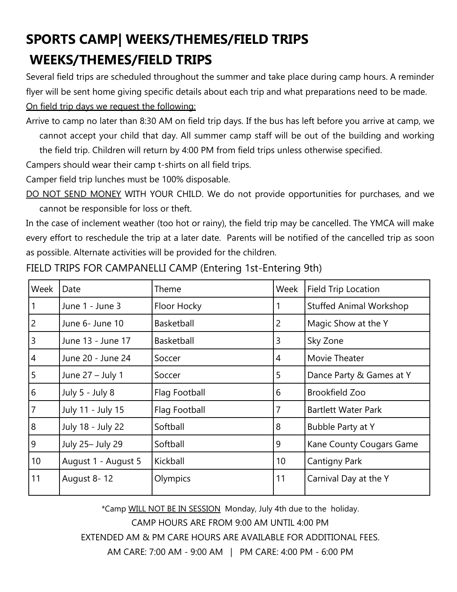# **SPORTS CAMP| WEEKS/THEMES/FIELD TRIPS WEEKS/THEMES/FIELD TRIPS**

Several field trips are scheduled throughout the summer and take place during camp hours. A reminder flyer will be sent home giving specific details about each trip and what preparations need to be made. On field trip days we request the following:

Arrive to camp no later than 8:30 AM on field trip days. If the bus has left before you arrive at camp, we cannot accept your child that day. All summer camp staff will be out of the building and working the field trip. Children will return by 4:00 PM from field trips unless otherwise specified.

Campers should wear their camp t-shirts on all field trips.

Camper field trip lunches must be 100% disposable.

DO NOT SEND MONEY WITH YOUR CHILD. We do not provide opportunities for purchases, and we cannot be responsible for loss or theft.

In the case of inclement weather (too hot or rainy), the field trip may be cancelled. The YMCA will make every effort to reschedule the trip at a later date. Parents will be notified of the cancelled trip as soon as possible. Alternate activities will be provided for the children.

| Week            | Date                | Theme         | Week           | Field Trip Location            |
|-----------------|---------------------|---------------|----------------|--------------------------------|
| $\vert$ 1       | June 1 - June 3     | Floor Hocky   | 1              | <b>Stuffed Animal Workshop</b> |
| $\overline{2}$  | June 6- June 10     | Basketball    | $\overline{c}$ | Magic Show at the Y            |
| $\overline{3}$  | June 13 - June 17   | Basketball    | 3              | Sky Zone                       |
| $\overline{4}$  | June 20 - June 24   | Soccer        | $\overline{4}$ | Movie Theater                  |
| $\overline{5}$  | June 27 - July 1    | Soccer        | 5              | Dance Party & Games at Y       |
| $6\overline{6}$ | July 5 - July 8     | Flag Football | 6              | <b>Brookfield Zoo</b>          |
| $\overline{7}$  | July 11 - July 15   | Flag Football | 7              | <b>Bartlett Water Park</b>     |
| $\overline{8}$  | July 18 - July 22   | Softball      | 8              | Bubble Party at Y              |
| $\overline{9}$  | July 25- July 29    | Softball      | 9              | Kane County Cougars Game       |
| 10              | August 1 - August 5 | Kickball      | 10             | <b>Cantigny Park</b>           |
| 11              | August 8-12         | Olympics      | 11             | Carnival Day at the Y          |

FIELD TRIPS FOR CAMPANELLI CAMP (Entering 1st-Entering 9th)

\*Camp WILL NOT BE IN SESSION Monday, July 4th due to the holiday. CAMP HOURS ARE FROM 9:00 AM UNTIL 4:00 PM EXTENDED AM & PM CARE HOURS ARE AVAILABLE FOR ADDITIONAL FEES. AM CARE: 7:00 AM - 9:00 AM | PM CARE: 4:00 PM - 6:00 PM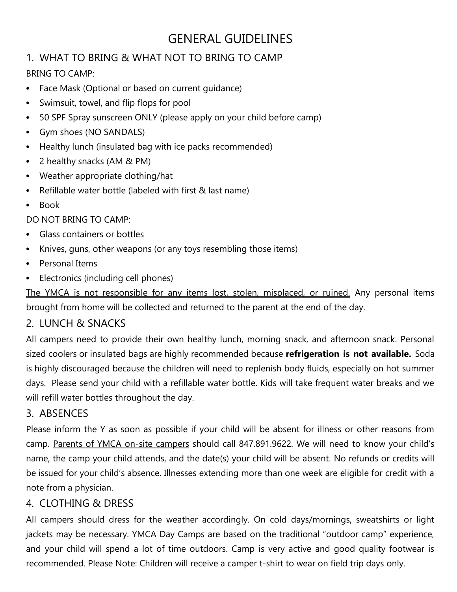# GENERAL GUIDELINES

### 1. WHAT TO BRING & WHAT NOT TO BRING TO CAMP

#### BRING TO CAMP:

- Face Mask (Optional or based on current guidance)
- Swimsuit, towel, and flip flops for pool
- 50 SPF Spray sunscreen ONLY (please apply on your child before camp)
- Gym shoes (NO SANDALS)
- Healthy lunch (insulated bag with ice packs recommended)
- 2 healthy snacks (AM & PM)
- Weather appropriate clothing/hat
- Refillable water bottle (labeled with first & last name)
- Book

DO NOT BRING TO CAMP:

- Glass containers or bottles
- Knives, guns, other weapons (or any toys resembling those items)
- Personal Items
- Electronics (including cell phones)

The YMCA is not responsible for any items lost, stolen, misplaced, or ruined. Any personal items brought from home will be collected and returned to the parent at the end of the day.

#### 2. LUNCH & SNACKS

All campers need to provide their own healthy lunch, morning snack, and afternoon snack. Personal sized coolers or insulated bags are highly recommended because **refrigeration is not available.** Soda is highly discouraged because the children will need to replenish body fluids, especially on hot summer days. Please send your child with a refillable water bottle. Kids will take frequent water breaks and we will refill water bottles throughout the day.

#### 3. ABSENCES

Please inform the Y as soon as possible if your child will be absent for illness or other reasons from camp. Parents of YMCA on-site campers should call 847.891.9622. We will need to know your child's name, the camp your child attends, and the date(s) your child will be absent. No refunds or credits will be issued for your child's absence. Illnesses extending more than one week are eligible for credit with a note from a physician.

#### 4. CLOTHING & DRESS

All campers should dress for the weather accordingly. On cold days/mornings, sweatshirts or light jackets may be necessary. YMCA Day Camps are based on the traditional "outdoor camp" experience, and your child will spend a lot of time outdoors. Camp is very active and good quality footwear is recommended. Please Note: Children will receive a camper t-shirt to wear on field trip days only.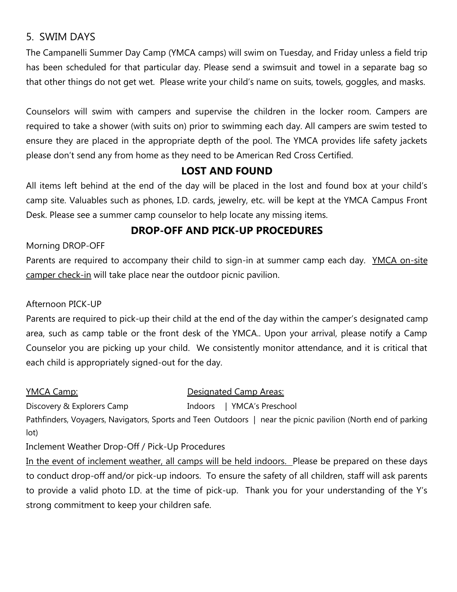#### 5. SWIM DAYS

The Campanelli Summer Day Camp (YMCA camps) will swim on Tuesday, and Friday unless a field trip has been scheduled for that particular day. Please send a swimsuit and towel in a separate bag so that other things do not get wet. Please write your child's name on suits, towels, goggles, and masks.

Counselors will swim with campers and supervise the children in the locker room. Campers are required to take a shower (with suits on) prior to swimming each day. All campers are swim tested to ensure they are placed in the appropriate depth of the pool. The YMCA provides life safety jackets please don't send any from home as they need to be American Red Cross Certified.

#### **LOST AND FOUND**

All items left behind at the end of the day will be placed in the lost and found box at your child's camp site. Valuables such as phones, I.D. cards, jewelry, etc. will be kept at the YMCA Campus Front Desk. Please see a summer camp counselor to help locate any missing items.

#### **DROP-OFF AND PICK-UP PROCEDURES**

Morning DROP-OFF

Parents are required to accompany their child to sign-in at summer camp each day. YMCA on-site camper check-in will take place near the outdoor picnic pavilion.

#### Afternoon PICK-UP

Parents are required to pick-up their child at the end of the day within the camper's designated camp area, such as camp table or the front desk of the YMCA.. Upon your arrival, please notify a Camp Counselor you are picking up your child. We consistently monitor attendance, and it is critical that each child is appropriately signed-out for the day.

lot)

YMCA Camp: Designated Camp Areas:

Discovery & Explorers Camp Indoors | YMCA's Preschool Pathfinders, Voyagers, Navigators, Sports and Teen Outdoors | near the picnic pavilion (North end of parking

Inclement Weather Drop-Off / Pick-Up Procedures

In the event of inclement weather, all camps will be held indoors. Please be prepared on these days to conduct drop-off and/or pick-up indoors. To ensure the safety of all children, staff will ask parents to provide a valid photo I.D. at the time of pick-up. Thank you for your understanding of the Y's strong commitment to keep your children safe.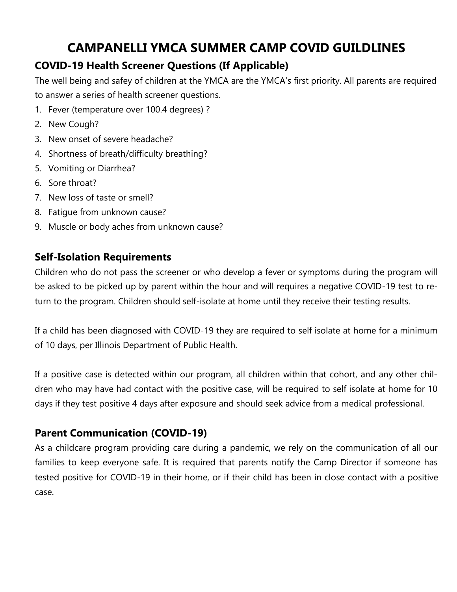# **CAMPANELLI YMCA SUMMER CAMP COVID GUILDLINES**

# **COVID-19 Health Screener Questions (If Applicable)**

The well being and safey of children at the YMCA are the YMCA's first priority. All parents are required to answer a series of health screener questions.

- 1. Fever (temperature over 100.4 degrees) ?
- 2. New Cough?
- 3. New onset of severe headache?
- 4. Shortness of breath/difficulty breathing?
- 5. Vomiting or Diarrhea?
- 6. Sore throat?
- 7. New loss of taste or smell?
- 8. Fatigue from unknown cause?
- 9. Muscle or body aches from unknown cause?

### **Self-Isolation Requirements**

Children who do not pass the screener or who develop a fever or symptoms during the program will be asked to be picked up by parent within the hour and will requires a negative COVID-19 test to return to the program. Children should self-isolate at home until they receive their testing results.

If a child has been diagnosed with COVID-19 they are required to self isolate at home for a minimum of 10 days, per Illinois Department of Public Health.

If a positive case is detected within our program, all children within that cohort, and any other children who may have had contact with the positive case, will be required to self isolate at home for 10 days if they test positive 4 days after exposure and should seek advice from a medical professional.

## **Parent Communication (COVID-19)**

As a childcare program providing care during a pandemic, we rely on the communication of all our families to keep everyone safe. It is required that parents notify the Camp Director if someone has tested positive for COVID-19 in their home, or if their child has been in close contact with a positive case.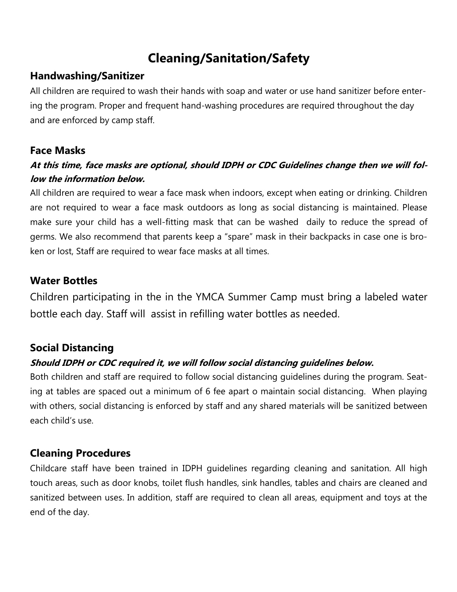# **Cleaning/Sanitation/Safety**

#### **Handwashing/Sanitizer**

All children are required to wash their hands with soap and water or use hand sanitizer before entering the program. Proper and frequent hand-washing procedures are required throughout the day and are enforced by camp staff.

#### **Face Masks**

### **At this time, face masks are optional, should IDPH or CDC Guidelines change then we will follow the information below.**

All children are required to wear a face mask when indoors, except when eating or drinking. Children are not required to wear a face mask outdoors as long as social distancing is maintained. Please make sure your child has a well-fitting mask that can be washed daily to reduce the spread of germs. We also recommend that parents keep a "spare" mask in their backpacks in case one is broken or lost, Staff are required to wear face masks at all times.

### **Water Bottles**

Children participating in the in the YMCA Summer Camp must bring a labeled water bottle each day. Staff will assist in refilling water bottles as needed.

#### **Social Distancing**

#### **Should IDPH or CDC required it, we will follow social distancing guidelines below.**

Both children and staff are required to follow social distancing guidelines during the program. Seating at tables are spaced out a minimum of 6 fee apart o maintain social distancing. When playing with others, social distancing is enforced by staff and any shared materials will be sanitized between each child's use.

### **Cleaning Procedures**

Childcare staff have been trained in IDPH guidelines regarding cleaning and sanitation. All high touch areas, such as door knobs, toilet flush handles, sink handles, tables and chairs are cleaned and sanitized between uses. In addition, staff are required to clean all areas, equipment and toys at the end of the day.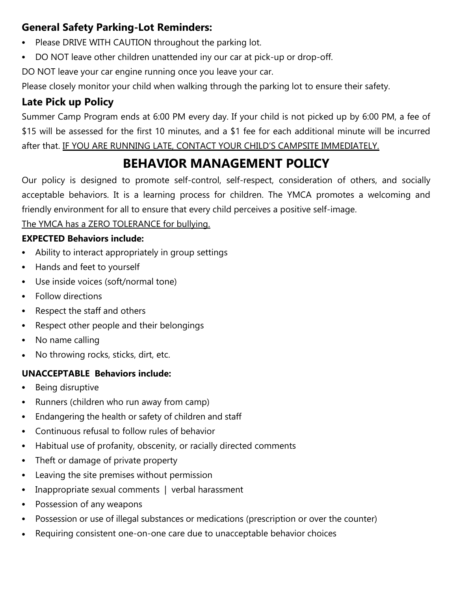# **General Safety Parking-Lot Reminders:**

- Please DRIVE WITH CAUTION throughout the parking lot.
- DO NOT leave other children unattended iny our car at pick-up or drop-off.

DO NOT leave your car engine running once you leave your car.

Please closely monitor your child when walking through the parking lot to ensure their safety.

# **Late Pick up Policy**

Summer Camp Program ends at 6:00 PM every day. If your child is not picked up by 6:00 PM, a fee of \$15 will be assessed for the first 10 minutes, and a \$1 fee for each additional minute will be incurred after that. IF YOU ARE RUNNING LATE, CONTACT YOUR CHILD'S CAMPSITE IMMEDIATELY.

# **BEHAVIOR MANAGEMENT POLICY**

Our policy is designed to promote self-control, self-respect, consideration of others, and socially acceptable behaviors. It is a learning process for children. The YMCA promotes a welcoming and friendly environment for all to ensure that every child perceives a positive self-image.

The YMCA has a ZERO TOLERANCE for bullying.

### **EXPECTED Behaviors include:**

- Ability to interact appropriately in group settings
- Hands and feet to yourself
- Use inside voices (soft/normal tone)
- Follow directions
- Respect the staff and others
- Respect other people and their belongings
- No name calling
- No throwing rocks, sticks, dirt, etc.

#### **UNACCEPTABLE Behaviors include:**

- Being disruptive
- Runners (children who run away from camp)
- Endangering the health or safety of children and staff
- Continuous refusal to follow rules of behavior
- Habitual use of profanity, obscenity, or racially directed comments
- Theft or damage of private property
- Leaving the site premises without permission
- Inappropriate sexual comments | verbal harassment
- Possession of any weapons
- Possession or use of illegal substances or medications (prescription or over the counter)
- Requiring consistent one-on-one care due to unacceptable behavior choices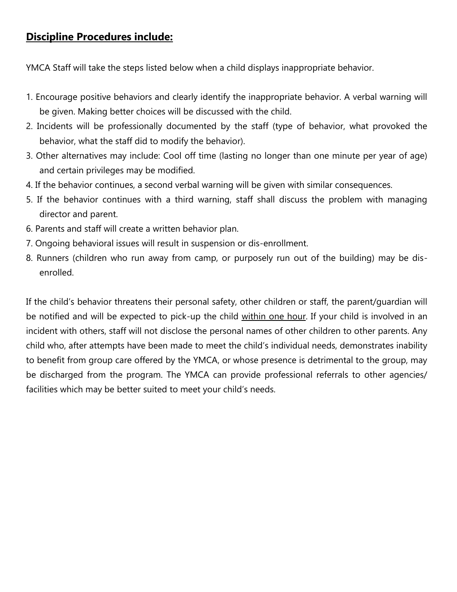### **Discipline Procedures include:**

YMCA Staff will take the steps listed below when a child displays inappropriate behavior.

- 1. Encourage positive behaviors and clearly identify the inappropriate behavior. A verbal warning will be given. Making better choices will be discussed with the child.
- 2. Incidents will be professionally documented by the staff (type of behavior, what provoked the behavior, what the staff did to modify the behavior).
- 3. Other alternatives may include: Cool off time (lasting no longer than one minute per year of age) and certain privileges may be modified.
- 4. If the behavior continues, a second verbal warning will be given with similar consequences.
- 5. If the behavior continues with a third warning, staff shall discuss the problem with managing director and parent.
- 6. Parents and staff will create a written behavior plan.
- 7. Ongoing behavioral issues will result in suspension or dis-enrollment.
- 8. Runners (children who run away from camp, or purposely run out of the building) may be disenrolled.

If the child's behavior threatens their personal safety, other children or staff, the parent/guardian will be notified and will be expected to pick-up the child within one hour. If your child is involved in an incident with others, staff will not disclose the personal names of other children to other parents. Any child who, after attempts have been made to meet the child's individual needs, demonstrates inability to benefit from group care offered by the YMCA, or whose presence is detrimental to the group, may be discharged from the program. The YMCA can provide professional referrals to other agencies/ facilities which may be better suited to meet your child's needs.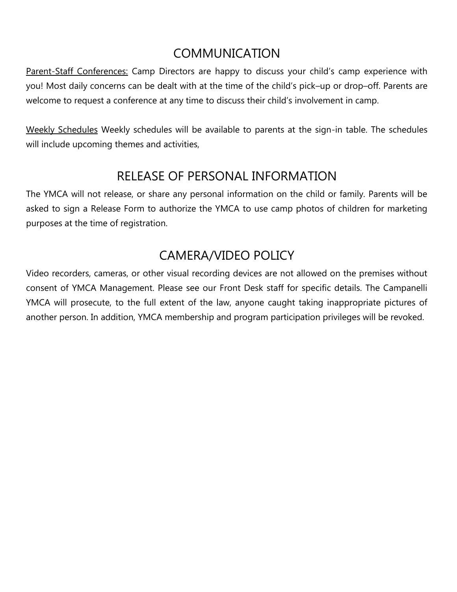# COMMUNICATION

Parent-Staff Conferences: Camp Directors are happy to discuss your child's camp experience with you! Most daily concerns can be dealt with at the time of the child's pick–up or drop–off. Parents are welcome to request a conference at any time to discuss their child's involvement in camp.

Weekly Schedules Weekly schedules will be available to parents at the sign-in table. The schedules will include upcoming themes and activities,

# RELEASE OF PERSONAL INFORMATION

The YMCA will not release, or share any personal information on the child or family. Parents will be asked to sign a Release Form to authorize the YMCA to use camp photos of children for marketing purposes at the time of registration.

# CAMERA/VIDEO POLICY

Video recorders, cameras, or other visual recording devices are not allowed on the premises without consent of YMCA Management. Please see our Front Desk staff for specific details. The Campanelli YMCA will prosecute, to the full extent of the law, anyone caught taking inappropriate pictures of another person. In addition, YMCA membership and program participation privileges will be revoked.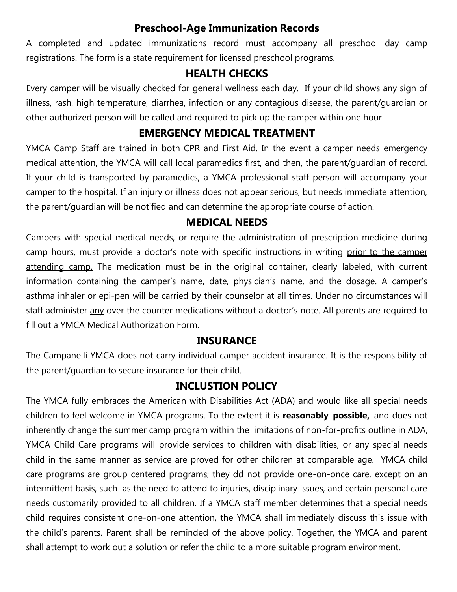#### **Preschool-Age Immunization Records**

A completed and updated immunizations record must accompany all preschool day camp registrations. The form is a state requirement for licensed preschool programs.

### **HEALTH CHECKS**

Every camper will be visually checked for general wellness each day. If your child shows any sign of illness, rash, high temperature, diarrhea, infection or any contagious disease, the parent/guardian or other authorized person will be called and required to pick up the camper within one hour.

### **EMERGENCY MEDICAL TREATMENT**

YMCA Camp Staff are trained in both CPR and First Aid. In the event a camper needs emergency medical attention, the YMCA will call local paramedics first, and then, the parent/guardian of record. If your child is transported by paramedics, a YMCA professional staff person will accompany your camper to the hospital. If an injury or illness does not appear serious, but needs immediate attention, the parent/guardian will be notified and can determine the appropriate course of action.

### **MEDICAL NEEDS**

Campers with special medical needs, or require the administration of prescription medicine during camp hours, must provide a doctor's note with specific instructions in writing prior to the camper attending camp. The medication must be in the original container, clearly labeled, with current information containing the camper's name, date, physician's name, and the dosage. A camper's asthma inhaler or epi-pen will be carried by their counselor at all times. Under no circumstances will staff administer any over the counter medications without a doctor's note. All parents are required to fill out a YMCA Medical Authorization Form.

#### **INSURANCE**

The Campanelli YMCA does not carry individual camper accident insurance. It is the responsibility of the parent/guardian to secure insurance for their child.

#### **INCLUSTION POLICY**

The YMCA fully embraces the American with Disabilities Act (ADA) and would like all special needs children to feel welcome in YMCA programs. To the extent it is **reasonably possible,** and does not inherently change the summer camp program within the limitations of non-for-profits outline in ADA, YMCA Child Care programs will provide services to children with disabilities, or any special needs child in the same manner as service are proved for other children at comparable age. YMCA child care programs are group centered programs; they dd not provide one-on-once care, except on an intermittent basis, such as the need to attend to injuries, disciplinary issues, and certain personal care needs customarily provided to all children. If a YMCA staff member determines that a special needs child requires consistent one-on-one attention, the YMCA shall immediately discuss this issue with the child's parents. Parent shall be reminded of the above policy. Together, the YMCA and parent shall attempt to work out a solution or refer the child to a more suitable program environment.